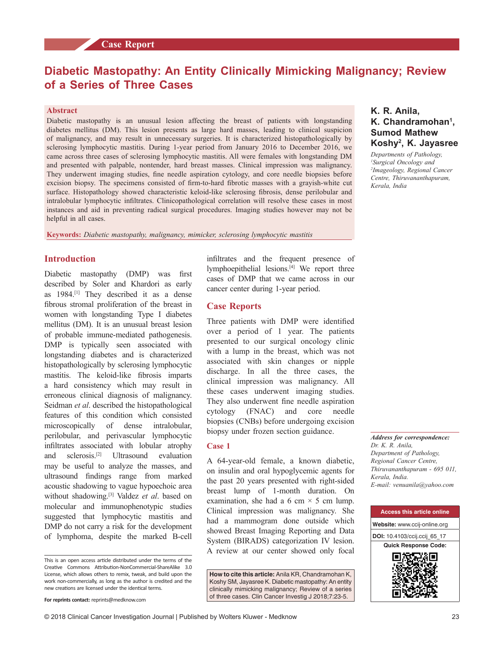# **Diabetic Mastopathy: An Entity Clinically Mimicking Malignancy; Review of a Series of Three Cases**

#### **Abstract**

**START START** 

Diabetic mastopathy is an unusual lesion affecting the breast of patients with longstanding diabetes mellitus (DM). This lesion presents as large hard masses, leading to clinical suspicion of malignancy, and may result in unnecessary surgeries. It is characterized histopathologically by sclerosing lymphocytic mastitis. During 1–year period from January 2016 to December 2016, we came across three cases of sclerosing lymphocytic mastitis. All were females with longstanding DM and presented with palpable, nontender, hard breast masses. Clinical impression was malignancy. They underwent imaging studies, fine needle aspiration cytology, and core needle biopsies before excision biopsy. The specimens consisted of firm–to-hard fibrotic masses with a gravish–white cut surface. Histopathology showed characteristic keloid-like sclerosing fibrosis, dense perilobular and intralobular lymphocytic infiltrates. Clinicopathological correlation will resolve these cases in most instances and aid in preventing radical surgical procedures. Imaging studies however may not be helpful in all cases.

**Keywords:** *Diabetic mastopathy, malignancy, mimicker, sclerosing lymphocytic mastitis*

## **Introduction**

Diabetic mastopathy (DMP) was first described by Soler and Khardori as early as 1984.[1] They described it as a dense fibrous stromal proliferation of the breast in women with longstanding Type I diabetes mellitus (DM). It is an unusual breast lesion of probable immune‑mediated pathogenesis. DMP is typically seen associated with longstanding diabetes and is characterized histopathologically by sclerosing lymphocytic mastitis. The keloid-like fibrosis imparts a hard consistency which may result in erroneous clinical diagnosis of malignancy. Seidman *et al*. described the histopathological features of this condition which consisted microscopically of dense intralobular, perilobular, and perivascular lymphocytic infiltrates associated with lobular atrophy and sclerosis.[2] Ultrasound evaluation may be useful to analyze the masses, and ultrasound findings range from marked acoustic shadowing to vague hypoechoic area without shadowing.[3] Valdez *et al*. based on molecular and immunophenotypic studies suggested that lymphocytic mastitis and DMP do not carry a risk for the development of lymphoma, despite the marked B‑cell

This is an open access article distributed under the terms of the Creative Commons Attribution‑NonCommercial‑ShareAlike 3.0 License, which allows others to remix, tweak, and build upon the work non‑commercially, as long as the author is credited and the new creations are licensed under the identical terms.

infiltrates and the frequent presence of lymphoepithelial lesions.[4] We report three cases of DMP that we came across in our cancer center during 1‑year period.

#### **Case Reports**

Three patients with DMP were identified over a period of 1 year. The patients presented to our surgical oncology clinic with a lump in the breast, which was not associated with skin changes or nipple discharge. In all the three cases, the clinical impression was malignancy. All these cases underwent imaging studies. They also underwent fine needle aspiration cytology (FNAC) and core needle biopsies (CNBs) before undergoing excision biopsy under frozen section guidance.

#### **Case 1**

A 64‑year‑old female, a known diabetic, on insulin and oral hypoglycemic agents for the past 20 years presented with right-sided breast lump of 1‑month duration. On examination, she had a 6 cm  $\times$  5 cm lump. Clinical impression was malignancy. She had a mammogram done outside which showed Breast Imaging Reporting and Data System (BIRADS) categorization IV lesion. A review at our center showed only focal

**How to cite this article:** Anila KR, Chandramohan K, Koshy SM, Jayasree K. Diabetic mastopathy: An entity clinically mimicking malignancy; Review of a series of three cases. Clin Cancer Investig J 2018;7:23-5.

# **K. R. Anila, K. Chandramohan1 , Sumod Mathew Koshy2 , K. Jayasree**

*Departments of Pathology, 1 Surgical Oncology and 2 Imageology, Regional Cancer Centre, Thiruvananthapuram, Kerala, India*

*Address for correspondence: Dr. K. R. Anila, Department of Pathology, Regional Cancer Centre, Thiruvananthapuram ‑ 695 011, Kerala, India. E‑mail: venuanila@yahoo.com*



**For reprints contact:** reprints@medknow.com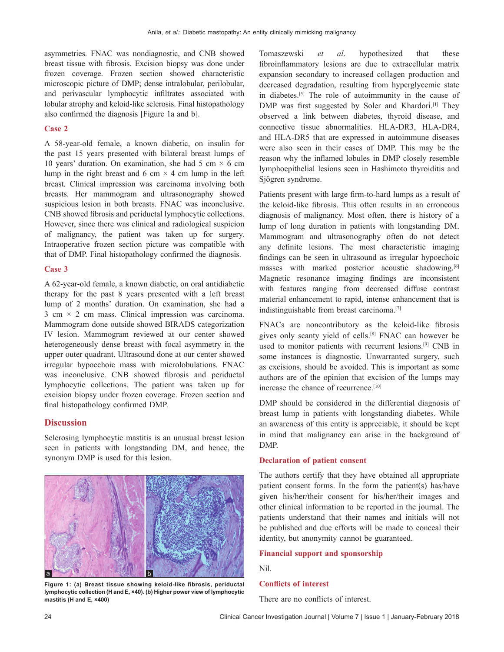asymmetries. FNAC was nondiagnostic, and CNB showed breast tissue with fibrosis. Excision biopsy was done under frozen coverage. Frozen section showed characteristic microscopic picture of DMP; dense intralobular, perilobular, and perivascular lymphocytic infiltrates associated with lobular atrophy and keloid-like sclerosis. Final histopathology also confirmed the diagnosis [Figure 1a and b].

#### **Case 2**

A 58‑year‑old female, a known diabetic, on insulin for the past 15 years presented with bilateral breast lumps of 10 years' duration. On examination, she had 5 cm  $\times$  6 cm lump in the right breast and 6 cm  $\times$  4 cm lump in the left breast. Clinical impression was carcinoma involving both breasts. Her mammogram and ultrasonography showed suspicious lesion in both breasts. FNAC was inconclusive. CNB showed fibrosis and periductal lymphocytic collections. However, since there was clinical and radiological suspicion of malignancy, the patient was taken up for surgery. Intraoperative frozen section picture was compatible with that of DMP. Final histopathology confirmed the diagnosis.

#### **Case 3**

A 62‑year‑old female, a known diabetic, on oral antidiabetic therapy for the past 8 years presented with a left breast lump of 2 months' duration. On examination, she had a  $3 \text{ cm} \times 2 \text{ cm}$  mass. Clinical impression was carcinoma. Mammogram done outside showed BIRADS categorization IV lesion. Mammogram reviewed at our center showed heterogeneously dense breast with focal asymmetry in the upper outer quadrant. Ultrasound done at our center showed irregular hypoechoic mass with microlobulations. FNAC was inconclusive. CNB showed fibrosis and periductal lymphocytic collections. The patient was taken up for excision biopsy under frozen coverage. Frozen section and final histopathology confirmed DMP.

# **Discussion**

Sclerosing lymphocytic mastitis is an unusual breast lesion seen in patients with longstanding DM, and hence, the synonym DMP is used for this lesion.



**Figure 1: (a) Breast tissue showing keloid-like fibrosis, periductal lymphocytic collection (H and E, ×40). (b) Higher power view of lymphocytic mastitis (H and E, ×400)**

Tomaszewski *et al*. hypothesized that these fibroinflammatory lesions are due to extracellular matrix expansion secondary to increased collagen production and decreased degradation, resulting from hyperglycemic state in diabetes.[5] The role of autoimmunity in the cause of DMP was first suggested by Soler and Khardori.<sup>[1]</sup> They observed a link between diabetes, thyroid disease, and connective tissue abnormalities. HLA‑DR3, HLA‑DR4, and HLA‑DR5 that are expressed in autoimmune diseases were also seen in their cases of DMP. This may be the reason why the inflamed lobules in DMP closely resemble lymphoepithelial lesions seen in Hashimoto thyroiditis and Sjögren syndrome.

Patients present with large firm-to-hard lumps as a result of the keloid‑like fibrosis. This often results in an erroneous diagnosis of malignancy. Most often, there is history of a lump of long duration in patients with longstanding DM. Mammogram and ultrasonography often do not detect any definite lesions. The most characteristic imaging findings can be seen in ultrasound as irregular hypoechoic masses with marked posterior acoustic shadowing.<sup>[6]</sup> Magnetic resonance imaging findings are inconsistent with features ranging from decreased diffuse contrast material enhancement to rapid, intense enhancement that is indistinguishable from breast carcinoma.[7]

FNACs are noncontributory as the keloid-like fibrosis gives only scanty yield of cells.[8] FNAC can however be used to monitor patients with recurrent lesions.[9] CNB in some instances is diagnostic. Unwarranted surgery, such as excisions, should be avoided. This is important as some authors are of the opinion that excision of the lumps may increase the chance of recurrence.<sup>[10]</sup>

DMP should be considered in the differential diagnosis of breast lump in patients with longstanding diabetes. While an awareness of this entity is appreciable, it should be kept in mind that malignancy can arise in the background of DMP.

#### **Declaration of patient consent**

The authors certify that they have obtained all appropriate patient consent forms. In the form the patient(s) has/have given his/her/their consent for his/her/their images and other clinical information to be reported in the journal. The patients understand that their names and initials will not be published and due efforts will be made to conceal their identity, but anonymity cannot be guaranteed.

#### **Financial support and sponsorship**

Nil.

### **Conflicts of interest**

There are no conflicts of interest.